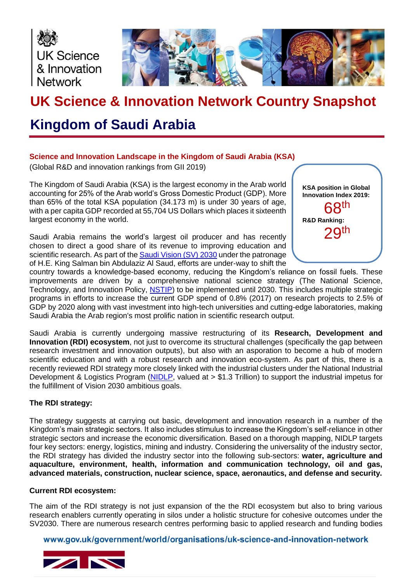



# **UK Science & Innovation Network Country Snapshot**

## **Kingdom of Saudi Arabia**

## **Science and Innovation Landscape in the Kingdom of Saudi Arabia (KSA)**

(Global R&D and innovation rankings from GII 2019)

The Kingdom of Saudi Arabia (KSA) is the largest economy in the Arab world accounting for 25% of the Arab world's Gross Domestic Product (GDP). More than 65% of the total KSA population (34.173 m) is under 30 years of age, with a per capita GDP recorded at 55,704 US Dollars which places it sixteenth largest economy in the world.

Saudi Arabia remains the world's largest oil producer and has recently chosen to direct a good share of its revenue to improving education and scientific research. As part of th[e Saudi Vision \(SV\) 2030](https://vision2030.gov.sa/en) under the patronage of H.E. King Salman bin Abdulaziz Al Saud, efforts are under-way to shift the



country towards a knowledge-based economy, reducing the Kingdom's reliance on fossil fuels. These improvements are driven by a comprehensive national science strategy (The National Science, Technology, and Innovation Policy, [NSTIP\)](https://www.wipo.int/export/sites/www/pct/en/news/extracts/2013/wipo_magazine_05_2013_science_technology_innovation.pdf) to be implemented until 2030. This includes multiple strategic programs in efforts to increase the current GDP spend of 0.8% (2017) on research projects to 2.5% of GDP by 2020 along with vast investment into high-tech universities and cutting-edge laboratories, making Saudi Arabia the Arab region's most prolific nation in scientific research output.

Saudi Arabia is currently undergoing massive restructuring of its **Research, Development and Innovation (RDI) ecosystem**, not just to overcome its structural challenges (specifically the gap between research investment and innovation outputs), but also with an asporation to become a hub of modern scientific education and with a robust research and innovation eco-system. As part of this, there is a recently reviewed RDI strategy more closely linked with the industrial clusters under the National Industrial Development & Logistics Program [\(NIDLP,](https://vision2030.gov.sa/sites/default/files/attachments/NIDLP%20Delivery%20Plan%20-%20English%20Jan%202019.pdf) valued at > \$1.3 Trillion) to support the industrial impetus for the fulfillment of Vision 2030 ambitious goals.

## **The RDI strategy:**

The strategy suggests at carrying out basic, development and innovation research in a number of the Kingdom's main strategic sectors. It also includes stimulus to increase the Kingdom's self-reliance in other strategic sectors and increase the economic diversification. Based on a thorough mapping, NIDLP targets four key sectors: energy, logistics, mining and industry. Considering the universality of the industry sector, the RDI strategy has divided the industry sector into the following sub-sectors: **water, agriculture and aquaculture, environment, health, information and communication technology, oil and gas, advanced materials, construction, nuclear science, space, aeronautics, and defense and security.**

#### **Current RDI ecosystem:**

The aim of the RDI strategy is not just expansion of the the RDI ecosystem but also to bring various research enablers currently operating in silos under a holistic structure for cohesive outcomes under the SV2030. There are numerous research centres performing basic to applied research and funding bodies

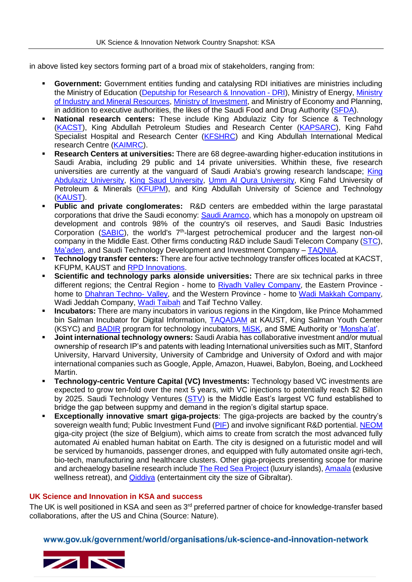in above listed key sectors forming part of a broad mix of stakeholders, ranging from:

- **Government:** Government entities funding and catalysing RDI initiatives are ministries including the Ministry of Education [\(Deputship for Research & Innovation -](https://rdo.moe.gov.sa/en/Pages/default.aspx) DRI), Ministry of Energy, [Ministry](https://www.meim.gov.sa/arabic/Pages/default.aspx)  [of Industry and Mineral Resources,](https://www.meim.gov.sa/arabic/Pages/default.aspx) [Ministry of Investment,](https://investsaudi.sa/en/) and Ministry of Economy and Planning, in addition to executive authorities, the likes of the Saudi Food and Drug Authority [\(SFDA\)](https://www.sfda.gov.sa/En/Pages/default.aspx).
- **National research centers:** These include King Abdulaziz City for Science & Technology [\(KACST\)](https://www.kacst.edu.sa/), King Abdullah Petroleum Studies and Research Center [\(KAPSARC\)](https://www.kapsarc.org/), King Fahd Specialist Hospital and Research Center [\(KFSHRC\)](https://www.kfshrc.edu.sa/) and King Abdullah International Medical research Centre [\(KAIMRC\)](https://kaimrc.med.sa/).
- **Research Centers at universities:** There are 68 degree-awarding higher-education institutions in Saudi Arabia, including 29 public and 14 private universities. Whithin these, five research universities are currently at the vanguard of Saudi Arabia's growing research landscape; [King](https://spanish.kau.edu.sa/Default-3333333-EN)  [Abdulaziz University,](https://spanish.kau.edu.sa/Default-3333333-EN) [King Saud University,](https://ksu.edu.sa/en/) [Umm Al Qura University,](https://uqu.edu.sa/en) King Fahd University of Petroleum & Minerals [\(KFUPM\)](http://www.kfupm.edu.sa/default.aspx), and King Abdullah University of Science and Technology [\(KAUST\)](https://kaust.edu.sa/en).
- **Public and private conglomerates:** R&D centers are embedded within the large parastatal corporations that drive the Saudi economy: [Saudi Aramco,](https://www.saudiaramco.com/) which has a monopoly on upstream oil development and controls 98% of the country's oil reserves, and Saudi Basic Industries Corporation [\(SABIC\)](https://www.sabic.com/en/about), the world's 7<sup>th</sup>-largest petrochemical producer and the largest non-oil company in the Middle East. Other firms conducting R&D include Saudi Telecom Company [\(STC\)](https://www.stc.com.sa/wps/wcm/connect/english/individual/individual), [Ma'aden,](https://www.maaden.com.sa/) and Saudi Technology Development and Investment Company – [TAQNIA.](https://taqnia.com/en/)
- **Technology transfer centers:** There are four active technology transfer offices located at KACST, KFUPM, KAUST and [RPD Innovations.](http://rpdinnovations.com/)
- **Scientific and technology parks alonside universities:** There are six technical parks in three different regions; the Central Region - home to [Riyadh Valley Company,](http://rvc.com.sa/?lang=en) the Eastern Province home to [Dhahran Techno-](https://www.dtvc.com.sa/) Valley, and the Western Province - home to [Wadi Makkah Company,](https://wadimakkah.sa/en/) Wadi Jeddah Company, [Wadi Taibah](https://www.taibahvalley.com.sa/en/home/) and Taif Techno Valley.
- **Incubators:** There are many incubators in various regions in the Kingdom, like Prince Mohammed bin Salman Incubator for Digital Information, [TAQADAM](https://taqadam.kaust.edu.sa/) at KAUST, King Salman Youth Center (KSYC) and [BADIR](https://www.badir.com.sa/en) program for technology incubators, [MiSK,](https://misk.org.sa/en/) and SME Authority or ['Monsha'at'](https://www.monshaat.gov.sa/en/node/785).
- **Joint international technology owners:** Saudi Arabia has collaborative investment and/or mutual ownership of research IP's and patents with leading International universities such as MIT, Stanford University, Harvard University, University of Cambridge and University of Oxford and with major international companies such as Google, Apple, Amazon, Huawei, Babylon, Boeing, and Lockheed Martin.
- **Technology-centric Venture Capital (VC) Investments:** Technology based VC investments are expected to grow ten-fold over the next 5 years, with VC injections to potentially reach \$2 Billion by 2025. Saudi Technology Ventures [\(STV\)](https://stcventures.com/) is the Middle East's largest VC fund established to bridge the gap between suppmy and demand in the region's digital startup space.
- **Exceptionally innovative smart giga-projects**: The giga-projects are backed by the country's sovereign wealth fund; Public Investment Fund [\(PIF\)](https://www.pif.gov.sa/en/Pages/default.aspx) and involve significant R&D portential. [NEOM](https://www.neom.com/en-us/) giga-city project (the size of Belgium), which aims to create from scratch the most advanced fully automated Ai enabled human habitat on Earth. The city is designed on a futuristic model and will be serviced by humanoids, passenger drones, and equipped with fully automated onsite agri-tech, bio-tech, manufacturing and healthcare clusters. Other giga-projects presenting scope for marine and archeaelogy baseline research include [The Red Sea Project](https://www.theredsea.sa/en) (luxury islands)[, Amaala](https://www.amaala.com/) (exlusive wellness retreat), and **Qiddiya** (entertainment city the size of Gibraltar).

#### **UK Science and Innovation in KSA and success**

The UK is well positioned in KSA and seen as 3<sup>rd</sup> preferred partner of choice for knowledge-transfer based collaborations, after the US and China (Source: Nature).

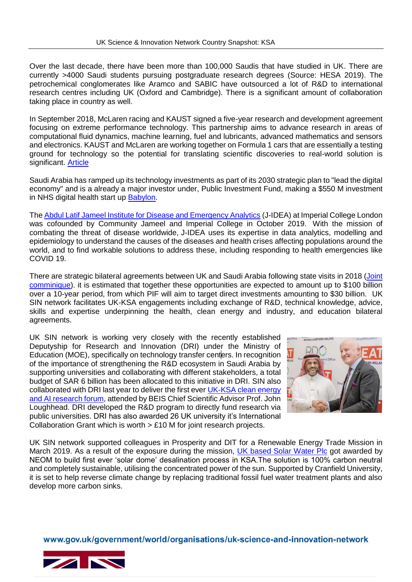Over the last decade, there have been more than 100,000 Saudis that have studied in UK. There are currently >4000 Saudi students pursuing postgraduate research degrees (Source: HESA 2019). The petrochemical conglomerates like Aramco and SABIC have outsourced a lot of R&D to international research centres including UK (Oxford and Cambridge). There is a significant amount of collaboration taking place in country as well.

In September 2018, McLaren racing and KAUST signed a five-year research and development agreement focusing on extreme performance technology. This partnership aims to advance research in areas of computational fluid dynamics, machine learning, fuel and lubricants, advanced mathematics and sensors and electronics. KAUST and McLaren are working together on Formula 1 cars that are essentially a testing ground for technology so the potential for translating scientific discoveries to real-world solution is significant. [Article](https://www.kaust.edu.sa/en/news/kaust-partners-with-mclaren-racing-on-r-d)

Saudi Arabia has ramped up its technology investments as part of its 2030 strategic plan to "lead the digital economy" and is a already a major investor under, Public Investment Fund, making a \$550 M investment in NHS digital health start up [Babylon.](https://www.bloomberg.com/news/articles/2019-08-02/saudis-lead-550-million-investment-in-u-k-startup-babylon)

The [Abdul Latif Jameel Institute for Disease and Emergency Analytics](https://www.imperial.ac.uk/jameel-institute/) (J-IDEA) at Imperial College London was cofounded by Community Jameel and Imperial College in October 2019. With the mission of combating the threat of disease worldwide, J-IDEA uses its expertise in data analytics, modelling and epidemiology to understand the causes of the diseases and health crises affecting populations around the world, and to find workable solutions to address these, including responding to health emergencies like COVID 19.

There are strategic bilateral agreements between UK and Saudi Arabia following state visits in 2018 [\(Joint](https://www.gov.uk/government/news/united-kingdom-saudi-arabia-joint-communique)  [comminique\)](https://www.gov.uk/government/news/united-kingdom-saudi-arabia-joint-communique). it is estimated that together these opportunities are expected to amount up to \$100 billion over a 10-year period, from which PIF will aim to target direct investments amounting to \$30 billion. UK SIN network facilitates UK-KSA engagements including exchange of R&D, technical knowledge, advice, skills and expertise underpinning the health, clean energy and industry, and education bilateral agreements.

UK SIN network is working very closely with the recently established Deputyship for Research and Innovation (DRI) under the Ministry of Education (MOE), specifically on technology transfer centers. In recognition of the importance of strengthening the R&D ecosystem in Saudi Arabia by supporting universities and collaborating with different stakeholders, a total budget of SAR 6 billion has been allocated to this initiative in DRI. SIN also collaborated with DRI last year to deliver the first ever [UK-KSA clean energy](https://www.pressreader.com/saudi-arabia/arab-news/20190226/281655371362313)  [and AI research forum,](https://www.pressreader.com/saudi-arabia/arab-news/20190226/281655371362313) attended by BEIS Chief Scientific Advisor Prof. John Loughhead. DRI developed the R&D program to directly fund research via public universities. DRI has also awarded 26 UK university it's International Collaboration Grant which is worth > £10 M for joint research projects.



UK SIN network supported colleagues in Prosperity and DIT for a Renewable Energy Trade Mission in March 2019. As a result of the exposure during the mission, [UK based Solar Water Plc](https://saudigazette.com.sa/article/587899/SAUDI-ARABIA/NEOM-adopts-pioneering-solar-dome-technology) got awarded by NEOM to build first ever 'solar dome' desalination process in KSA.The solution is 100% carbon neutral and completely sustainable, utilising the concentrated power of the sun. Supported by Cranfield University, it is set to help reverse climate change by replacing traditional fossil fuel water treatment plants and also develop more carbon sinks.